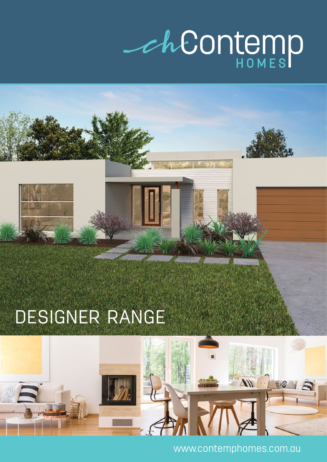## Cheontemp

## DESIGNER RANGE



www.contemphomes.com.au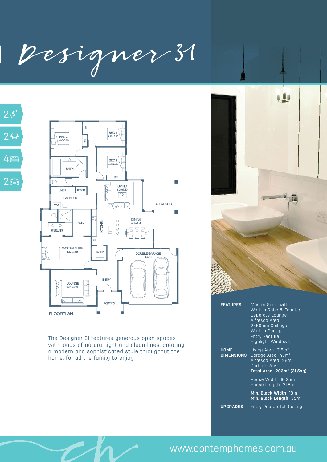| Designer 31 | Designer 37





The Designer 31 features generous open spaces with loads of natural light and clean lines, creating a modern and sophisticated style throughout the home, for all the family to enjoy



| <b>FEATURES</b>                  | Master Suite with<br>Walk in Robe & Ensuite<br>Seperate Lounge<br>Alfresco Area<br>2550mm Ceilings<br>Walk in Pantry<br><b>Entry Feature</b><br><b>Highlight Windows</b> |
|----------------------------------|--------------------------------------------------------------------------------------------------------------------------------------------------------------------------|
| <b>HOME</b><br><b>DIMENSIONS</b> | Living Area $215m2$<br>Garage Area 45m <sup>2</sup><br>Alfresco Area 26m <sup>2</sup><br>Portico 7m <sup>2</sup><br>Total Area 293m <sup>2</sup> (31.5sq)                |
|                                  | House Width 16.25m<br>House Length 21.8m                                                                                                                                 |
|                                  | Min. Block Width 18m<br><b>Min. Block Length</b> 35m                                                                                                                     |
| <b>UPGRADES</b>                  | Entry Pop Up Tall Ceiling                                                                                                                                                |

## www.contemphomes.com.au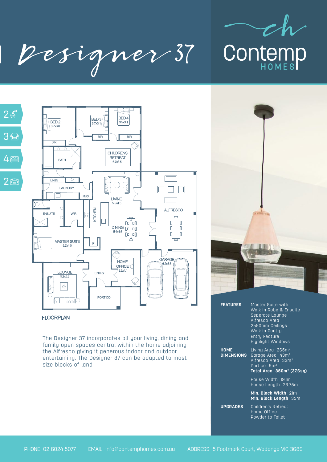

| Designer 37





## **FLOORPLAN**

The Designer 37 incorporates all your living, dining and family open spaces central within the home adjoining the Alfresco giving it generous indoor and outdoor entertaining. The Designer 37 can be adapted to most size blocks of land



| <b>FEATURES</b>           | <b>Master Suite with</b><br>Walk in Robe & Ensuite<br>Seperate Lounge<br>Alfresco Area<br>2550mm Ceilings<br>Walk in Pantry<br><b>Entry Feature</b><br><b>Highlight Windows</b> |
|---------------------------|---------------------------------------------------------------------------------------------------------------------------------------------------------------------------------|
| HOME<br><b>DIMENSIONS</b> | Living Area 265m <sup>2</sup><br>Garage Area 43m <sup>2</sup><br>Alfresco Area 33m <sup>2</sup><br>Portico 9m <sup>2</sup><br><u>Total Area</u> 350m <sup>2</sup> (37.6sq)      |
|                           | House Width 19.1m<br>House Length 23.75m                                                                                                                                        |
|                           | Min. Block Width 21m<br>Min. Block Length 35m                                                                                                                                   |
| <b>UPGRADES</b>           | Children's Retreat<br>Home Office<br>Powder to Toilet                                                                                                                           |